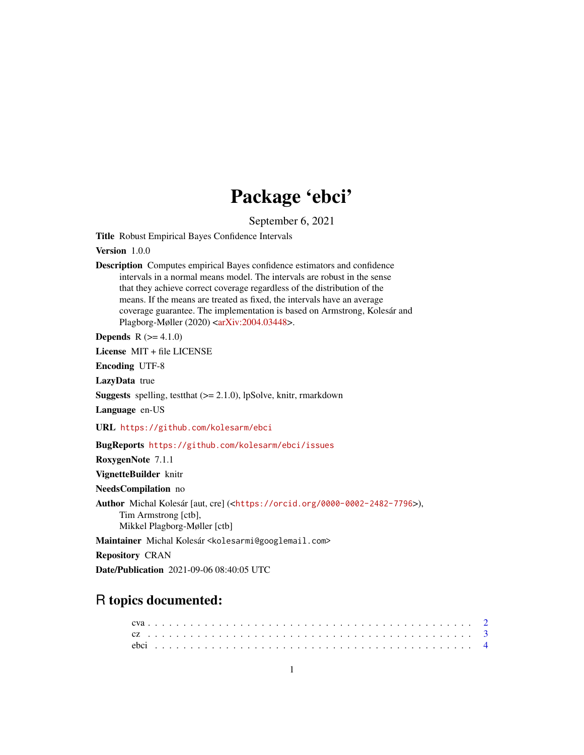# Package 'ebci'

September 6, 2021

Title Robust Empirical Bayes Confidence Intervals

Version 1.0.0

Description Computes empirical Bayes confidence estimators and confidence intervals in a normal means model. The intervals are robust in the sense that they achieve correct coverage regardless of the distribution of the means. If the means are treated as fixed, the intervals have an average coverage guarantee. The implementation is based on Armstrong, Kolesár and Plagborg-Møller (2020) [<arXiv:2004.03448>](https://arxiv.org/abs/2004.03448).

**Depends**  $R (= 4.1.0)$ 

License MIT + file LICENSE

Encoding UTF-8

LazyData true

**Suggests** spelling, test that  $(>= 2.1.0)$ , lpSolve, knitr, rmarkdown

Language en-US

URL <https://github.com/kolesarm/ebci>

BugReports <https://github.com/kolesarm/ebci/issues>

RoxygenNote 7.1.1

VignetteBuilder knitr

NeedsCompilation no

Author Michal Kolesár [aut, cre] (<<https://orcid.org/0000-0002-2482-7796>>), Tim Armstrong [ctb], Mikkel Plagborg-Møller [ctb]

Maintainer Michal Kolesár <kolesarmi@googlemail.com>

Repository CRAN

Date/Publication 2021-09-06 08:40:05 UTC

## R topics documented: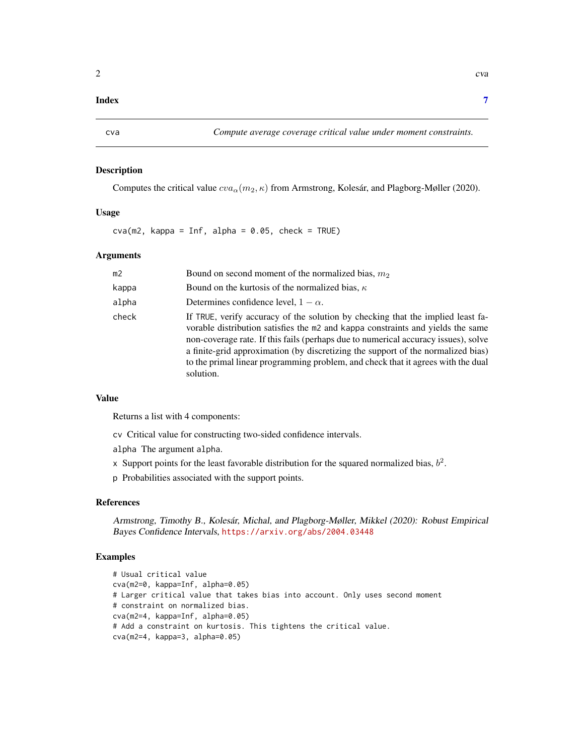#### <span id="page-1-0"></span>**Index** [7](#page-6-0) **7**

#### Description

Computes the critical value  $cva_{\alpha}(m_2, \kappa)$  from Armstrong, Kolesár, and Plagborg-Møller (2020).

#### Usage

 $cva(m2, kappa = Inf, alpha = 0.05, check = TRUE)$ 

#### Arguments

| m2    | Bound on second moment of the normalized bias, $m_2$                                                                                                                                                                                                                                                                                                                                                                                          |
|-------|-----------------------------------------------------------------------------------------------------------------------------------------------------------------------------------------------------------------------------------------------------------------------------------------------------------------------------------------------------------------------------------------------------------------------------------------------|
| kappa | Bound on the kurtosis of the normalized bias, $\kappa$                                                                                                                                                                                                                                                                                                                                                                                        |
| alpha | Determines confidence level, $1 - \alpha$ .                                                                                                                                                                                                                                                                                                                                                                                                   |
| check | If TRUE, verify accuracy of the solution by checking that the implied least fa-<br>vorable distribution satisfies the m2 and kappa constraints and yields the same<br>non-coverage rate. If this fails (perhaps due to numerical accuracy issues), solve<br>a finite-grid approximation (by discretizing the support of the normalized bias)<br>to the primal linear programming problem, and check that it agrees with the dual<br>solution. |

#### Value

Returns a list with 4 components:

cv Critical value for constructing two-sided confidence intervals.

alpha The argument alpha.

x Support points for the least favorable distribution for the squared normalized bias,  $b^2$ .

p Probabilities associated with the support points.

#### References

Armstrong, Timothy B., Kolesár, Michal, and Plagborg-Møller, Mikkel (2020): Robust Empirical Bayes Confidence Intervals, <https://arxiv.org/abs/2004.03448>

#### Examples

# Usual critical value cva(m2=0, kappa=Inf, alpha=0.05) # Larger critical value that takes bias into account. Only uses second moment # constraint on normalized bias. cva(m2=4, kappa=Inf, alpha=0.05) # Add a constraint on kurtosis. This tightens the critical value. cva(m2=4, kappa=3, alpha=0.05)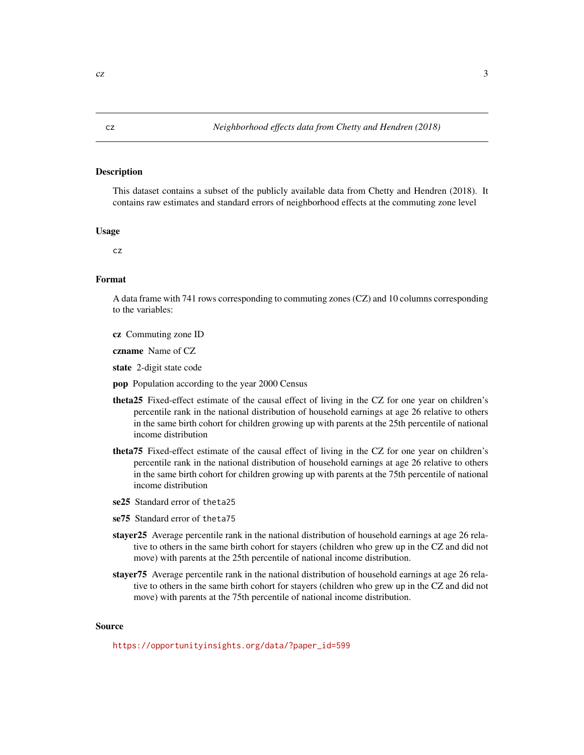#### <span id="page-2-0"></span>Description

This dataset contains a subset of the publicly available data from Chetty and Hendren (2018). It contains raw estimates and standard errors of neighborhood effects at the commuting zone level

#### Usage

cz

#### Format

A data frame with 741 rows corresponding to commuting zones (CZ) and 10 columns corresponding to the variables:

cz Commuting zone ID

czname Name of CZ

state 2-digit state code

- pop Population according to the year 2000 Census
- theta25 Fixed-effect estimate of the causal effect of living in the CZ for one year on children's percentile rank in the national distribution of household earnings at age 26 relative to others in the same birth cohort for children growing up with parents at the 25th percentile of national income distribution
- theta75 Fixed-effect estimate of the causal effect of living in the CZ for one year on children's percentile rank in the national distribution of household earnings at age 26 relative to others in the same birth cohort for children growing up with parents at the 75th percentile of national income distribution
- se25 Standard error of theta25
- se75 Standard error of theta75
- stayer 25 Average percentile rank in the national distribution of household earnings at age 26 relative to others in the same birth cohort for stayers (children who grew up in the CZ and did not move) with parents at the 25th percentile of national income distribution.
- stayer75 Average percentile rank in the national distribution of household earnings at age 26 relative to others in the same birth cohort for stayers (children who grew up in the CZ and did not move) with parents at the 75th percentile of national income distribution.

#### Source

[https://opportunityinsights.org/data/?paper\\_id=599](https://opportunityinsights.org/data/?paper_id=599)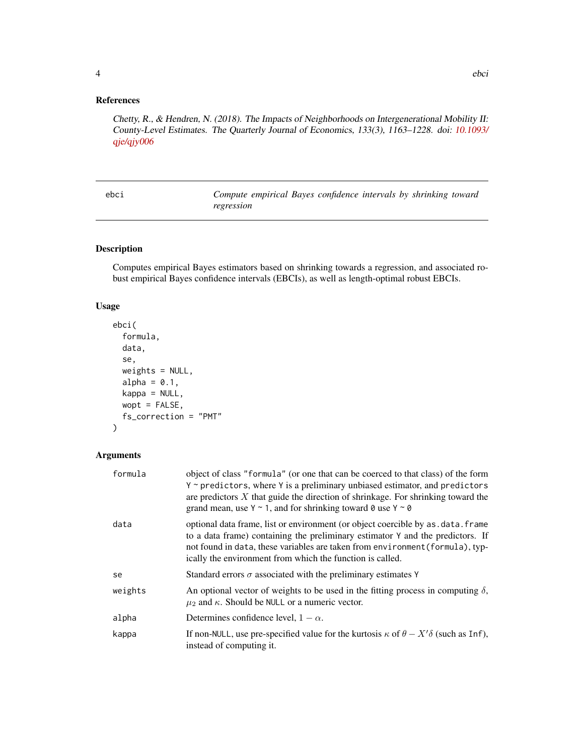#### <span id="page-3-0"></span>References

Chetty, R., & Hendren, N. (2018). The Impacts of Neighborhoods on Intergenerational Mobility II: County-Level Estimates. The Quarterly Journal of Economics, 133(3), 1163–1228. doi: [10.1093/](https://doi.org/10.1093/qje/qjy006) [qje/qjy006](https://doi.org/10.1093/qje/qjy006)

Compute empirical Bayes confidence intervals by shrinking toward *regression*

#### Description

Computes empirical Bayes estimators based on shrinking towards a regression, and associated robust empirical Bayes confidence intervals (EBCIs), as well as length-optimal robust EBCIs.

#### Usage

```
ebci(
  formula,
 data,
  se,
 weights = NULL,
  alpha = 0.1,
 kappa = NULL,
 wopt = FALSE,fs_correction = "PMT"
)
```
#### Arguments

| formula | object of class "formula" (or one that can be coerced to that class) of the form<br>Y ~ predictors, where Y is a preliminary unbiased estimator, and predictors<br>are predictors $X$ that guide the direction of shrinkage. For shrinking toward the<br>grand mean, use $Y \sim 1$ , and for shrinking toward 0 use $Y \sim 0$ |
|---------|---------------------------------------------------------------------------------------------------------------------------------------------------------------------------------------------------------------------------------------------------------------------------------------------------------------------------------|
| data    | optional data frame, list or environment (or object coercible by as . data. frame<br>to a data frame) containing the preliminary estimator Y and the predictors. If<br>not found in data, these variables are taken from environment (formula), typ-<br>ically the environment from which the function is called.               |
| se      | Standard errors $\sigma$ associated with the preliminary estimates Y                                                                                                                                                                                                                                                            |
| weights | An optional vector of weights to be used in the fitting process in computing $\delta$ ,<br>$\mu_2$ and $\kappa$ . Should be NULL or a numeric vector.                                                                                                                                                                           |
| alpha   | Determines confidence level, $1 - \alpha$ .                                                                                                                                                                                                                                                                                     |
| kappa   | If non-NULL, use pre-specified value for the kurtosis $\kappa$ of $\theta - X' \delta$ (such as Inf),<br>instead of computing it.                                                                                                                                                                                               |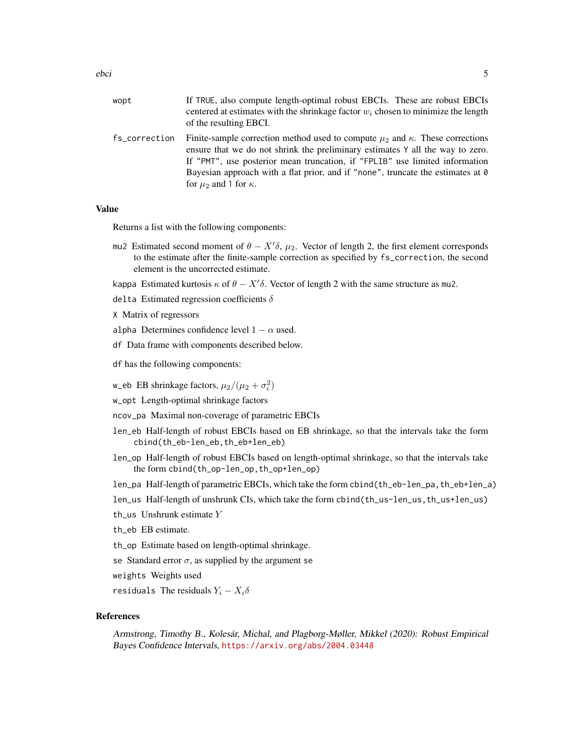| wopt          | If TRUE, also compute length-optimal robust EBCIs. These are robust EBCIs<br>centered at estimates with the shrinkage factor $w_i$ chosen to minimize the length<br>of the resulting EBCI.                                                                                                                                                                                      |
|---------------|---------------------------------------------------------------------------------------------------------------------------------------------------------------------------------------------------------------------------------------------------------------------------------------------------------------------------------------------------------------------------------|
| fs correction | Finite-sample correction method used to compute $\mu_2$ and $\kappa$ . These corrections<br>ensure that we do not shrink the preliminary estimates Y all the way to zero.<br>If "PMT", use posterior mean truncation, if "FPLIB" use limited information<br>Bayesian approach with a flat prior, and if "none", truncate the estimates at 0<br>for $\mu_2$ and 1 for $\kappa$ . |

#### Value

Returns a list with the following components:

- mu2 Estimated second moment of  $\theta X' \delta$ ,  $\mu_2$ . Vector of length 2, the first element corresponds to the estimate after the finite-sample correction as specified by fs\_correction, the second element is the uncorrected estimate.
- kappa Estimated kurtosis  $\kappa$  of  $\theta X' \delta$ . Vector of length 2 with the same structure as mu2.
- delta Estimated regression coefficients  $\delta$
- X Matrix of regressors
- alpha Determines confidence level  $1 \alpha$  used.
- df Data frame with components described below.
- df has the following components:
- w\_eb EB shrinkage factors,  $\mu_2/(\mu_2 + \sigma_i^2)$
- w\_opt Length-optimal shrinkage factors
- ncov\_pa Maximal non-coverage of parametric EBCIs
- len\_eb Half-length of robust EBCIs based on EB shrinkage, so that the intervals take the form cbind(th\_eb-len\_eb,th\_eb+len\_eb)
- len\_op Half-length of robust EBCIs based on length-optimal shrinkage, so that the intervals take the form cbind(th\_op-len\_op,th\_op+len\_op)
- len\_pa Half-length of parametric EBCIs, which take the form cbind(th\_eb-len\_pa,th\_eb+len\_a)
- len\_us Half-length of unshrunk CIs, which take the form cbind(th\_us-len\_us,th\_us+len\_us)
- th\_us Unshrunk estimate Y
- th\_eb EB estimate.
- th\_op Estimate based on length-optimal shrinkage.
- se Standard error  $\sigma$ , as supplied by the argument se
- weights Weights used
- residuals The residuals  $Y_i X_i \delta$

#### References

Armstrong, Timothy B., Kolesár, Michal, and Plagborg-Møller, Mikkel (2020): Robust Empirical Bayes Confidence Intervals, <https://arxiv.org/abs/2004.03448>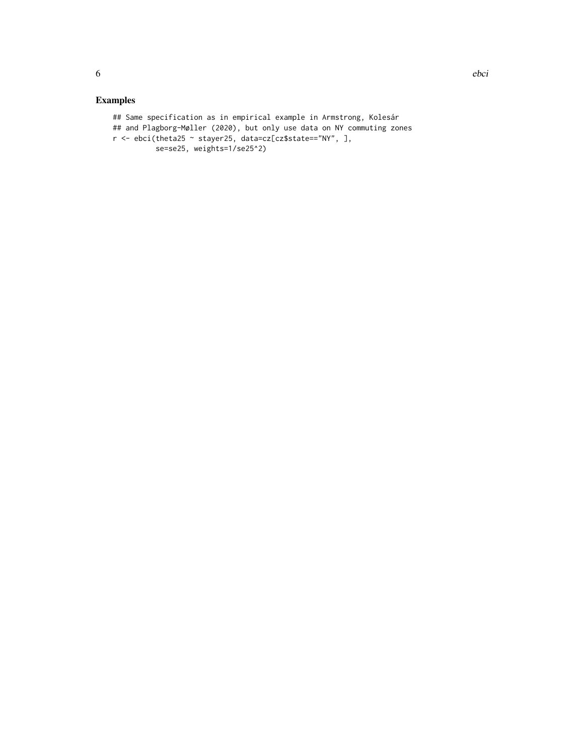### Examples

```
## Same specification as in empirical example in Armstrong, Kolesár
## and Plagborg-Møller (2020), but only use data on NY commuting zones
r <- ebci(theta25 ~ stayer25, data=cz[cz$state=="NY", ],
          se=se25, weights=1/se25^2)
```